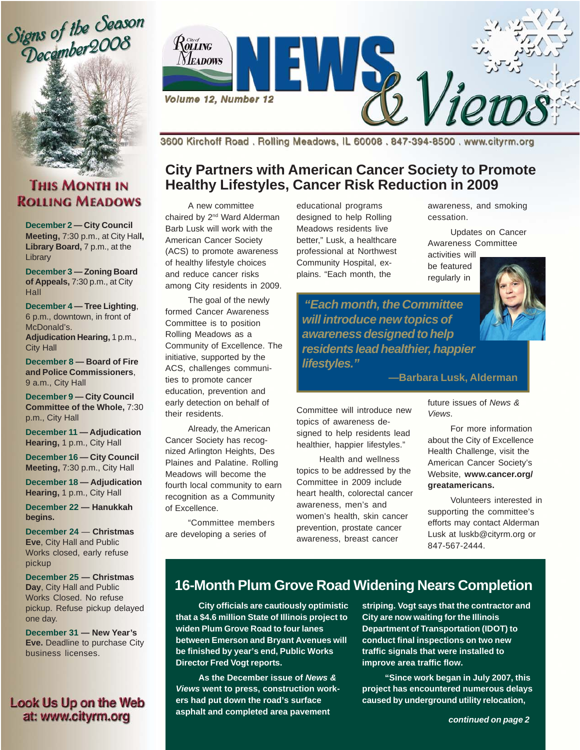



### **THIS MONTH IN ROLLING MEADOWS**

**December 2 — City Council Meeting,** 7:30 p.m., at City Hal**l,** Library Board, 7 p.m., at the **Library** 

**December 3 — Zoning Board of Appeals,** 7:30 p.m., at City Hall

**December 4 — Tree Lighting**, 6 p.m., downtown, in front of McDonald's.

**Adjudication Hearing,** 1 p.m., City Hall

**December 8 — Board of Fire and Police Commissioners**, 9 a.m., City Hall

**December 9 — City Council Committee of the Whole,** 7:30 p.m., City Hall

**December 11 — Adjudication Hearing,** 1 p.m., City Hall

**December 16 — City Council Meeting,** 7:30 p.m., City Hall

**December 18 — Adjudication Hearing,** 1 p.m., City Hall

**December 22 — Hanukkah begins.**

**December 24** — **Christmas Eve**, City Hall and Public Works closed, early refuse pickup

**December 25 — Christmas Day**, City Hall and Public Works Closed. No refuse pickup. Refuse pickup delayed one day.

**December 31 — New Year's Eve.** Deadline to purchase City business licenses.

#### Look Us Up on the Web at: www.cityrm.org



3600 Kirchoff Road. Rolling Meadows, IL 60008. 847-394-8500. www.cityrm.org

### **City Partners with American Cancer Society to Promote Healthy Lifestyles, Cancer Risk Reduction in 2009**

A new committee chaired by 2<sup>nd</sup> Ward Alderman Barb Lusk will work with the American Cancer Society (ACS) to promote awareness of healthy lifestyle choices and reduce cancer risks among City residents in 2009.

The goal of the newly formed Cancer Awareness Committee is to position Rolling Meadows as a Community of Excellence. The initiative, supported by the ACS, challenges communities to promote cancer education, prevention and early detection on behalf of their residents.

Already, the American Cancer Society has recognized Arlington Heights, Des Plaines and Palatine. Rolling Meadows will become the fourth local community to earn recognition as a Community of Excellence.

"Committee members are developing a series of

educational programs designed to help Rolling Meadows residents live better," Lusk, a healthcare professional at Northwest Community Hospital, explains. "Each month, the

awareness, and smoking cessation.

Updates on Cancer Awareness Committee

activities will be featured regularly in

 *"Each month, the Committee will introduce new topics of awareness designed to help residents lead healthier, happier lifestyles."*

**—Barbara Lusk, Alderman**

Committee will introduce new topics of awareness designed to help residents lead healthier, happier lifestyles."

Health and wellness topics to be addressed by the Committee in 2009 include heart health, colorectal cancer awareness, men's and women's health, skin cancer prevention, prostate cancer awareness, breast cancer

future issues of *News & Views*.

For more information about the City of Excellence Health Challenge, visit the American Cancer Society's Website, **www.cancer.org/ greatamericans.**

Volunteers interested in supporting the committee's efforts may contact Alderman Lusk at luskb@cityrm.org or 847-567-2444.

## **16-Month Plum Grove Road Widening Nears Completion**

**City officials are cautiously optimistic that a \$4.6 million State of Illinois project to widen Plum Grove Road to four lanes between Emerson and Bryant Avenues will be finished by year's end, Public Works Director Fred Vogt reports.**

**As the December issue of** *News & Views* **went to press, construction workers had put down the road's surface asphalt and completed area pavement**

**striping. Vogt says that the contractor and City are now waiting for the Illinois Department of Transportation (IDOT) to conduct final inspections on two new traffic signals that were installed to improve area traffic flow.**

**"Since work began in July 2007, this project has encountered numerous delays caused by underground utility relocation,**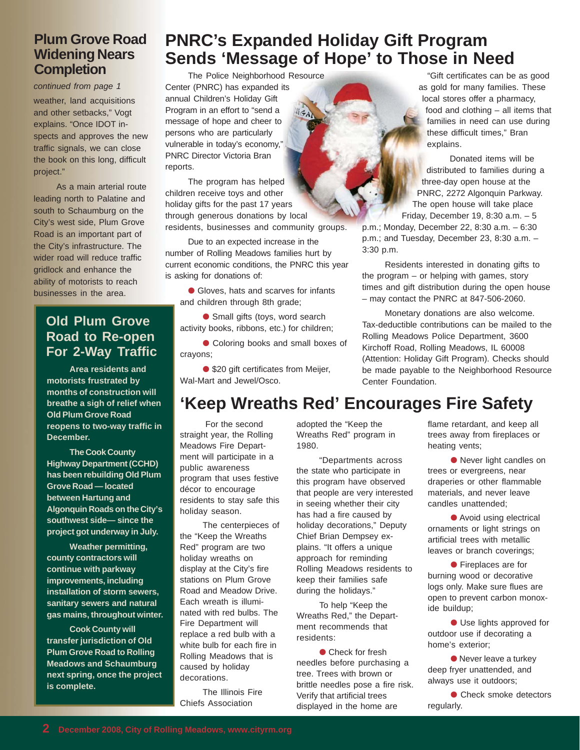#### **Plum Grove Road Widening Nears Completion**

*continued from page 1* weather, land acquisitions and other setbacks," Vogt explains. "Once IDOT inspects and approves the new traffic signals, we can close the book on this long, difficult project."

As a main arterial route leading north to Palatine and south to Schaumburg on the City's west side, Plum Grove Road is an important part of the City's infrastructure. The wider road will reduce traffic gridlock and enhance the ability of motorists to reach businesses in the area.

#### **Old Plum Grove Road to Re-open For 2-Way Traffic**

**Area residents and motorists frustrated by months of construction will breathe a sigh of relief when Old Plum Grove Road reopens to two-way traffic in December.**

**The Cook County Highway Department (CCHD) has been rebuilding Old Plum Grove Road — located between Hartung and Algonquin Roads on the City's southwest side— since the project got underway in July.**

**Weather permitting, county contractors will continue with parkway improvements, including installation of storm sewers, sanitary sewers and natural gas mains, throughout winter.**

**Cook County will transfer jurisdiction of Old Plum Grove Road to Rolling Meadows and Schaumburg next spring, once the project is complete.**

## **PNRC's Expanded Holiday Gift Program Sends 'Message of Hope' to Those in Need**

The Police Neighborhood Resource Center (PNRC) has expanded its annual Children's Holiday Gift Program in an effort to "send a message of hope and cheer to persons who are particularly vulnerable in today's economy," PNRC Director Victoria Bran reports.

The program has helped children receive toys and other holiday gifts for the past 17 years through generous donations by local residents, businesses and community groups.

Due to an expected increase in the number of Rolling Meadows families hurt by current economic conditions, the PNRC this year is asking for donations of:

● Gloves, hats and scarves for infants and children through 8th grade;

● Small gifts (toys, word search activity books, ribbons, etc.) for children;

● Coloring books and small boxes of crayons;

● \$20 gift certificates from Meijer, Wal-Mart and Jewel/Osco.

## **'Keep Wreaths Red' Encourages Fire Safety**

 For the second straight year, the Rolling Meadows Fire Department will participate in a public awareness program that uses festive décor to encourage residents to stay safe this holiday season.

The centerpieces of the "Keep the Wreaths Red" program are two holiday wreaths on display at the City's fire stations on Plum Grove Road and Meadow Drive. Each wreath is illuminated with red bulbs. The Fire Department will replace a red bulb with a white bulb for each fire in Rolling Meadows that is caused by holiday decorations.

The Illinois Fire Chiefs Association

adopted the "Keep the Wreaths Red" program in 1980.

"Departments across the state who participate in this program have observed that people are very interested in seeing whether their city has had a fire caused by holiday decorations," Deputy Chief Brian Dempsey explains. "It offers a unique approach for reminding Rolling Meadows residents to keep their families safe during the holidays."

To help "Keep the Wreaths Red," the Department recommends that residents:

● Check for fresh needles before purchasing a tree. Trees with brown or brittle needles pose a fire risk. Verify that artificial trees displayed in the home are

"Gift certificates can be as good as gold for many families. These local stores offer a pharmacy, food and clothing – all items that families in need can use during these difficult times," Bran explains.

Donated items will be distributed to families during a three-day open house at the PNRC, 2272 Algonquin Parkway. The open house will take place

Friday, December 19, 8:30 a.m. – 5 p.m.; Monday, December 22, 8:30 a.m. – 6:30 p.m.; and Tuesday, December 23, 8:30 a.m. – 3:30 p.m.

Residents interested in donating gifts to the program – or helping with games, story times and gift distribution during the open house – may contact the PNRC at 847-506-2060.

Monetary donations are also welcome. Tax-deductible contributions can be mailed to the Rolling Meadows Police Department, 3600 Kirchoff Road, Rolling Meadows, IL 60008 (Attention: Holiday Gift Program). Checks should be made payable to the Neighborhood Resource Center Foundation.

> flame retardant, and keep all trees away from fireplaces or heating vents;

● Never light candles on trees or evergreens, near draperies or other flammable materials, and never leave candles unattended;

● Avoid using electrical ornaments or light strings on artificial trees with metallic leaves or branch coverings;

● Fireplaces are for burning wood or decorative logs only. Make sure flues are open to prevent carbon monoxide buildup;

● Use lights approved for outdoor use if decorating a home's exterior;

● Never leave a turkey deep fryer unattended, and always use it outdoors;

● Check smoke detectors regularly.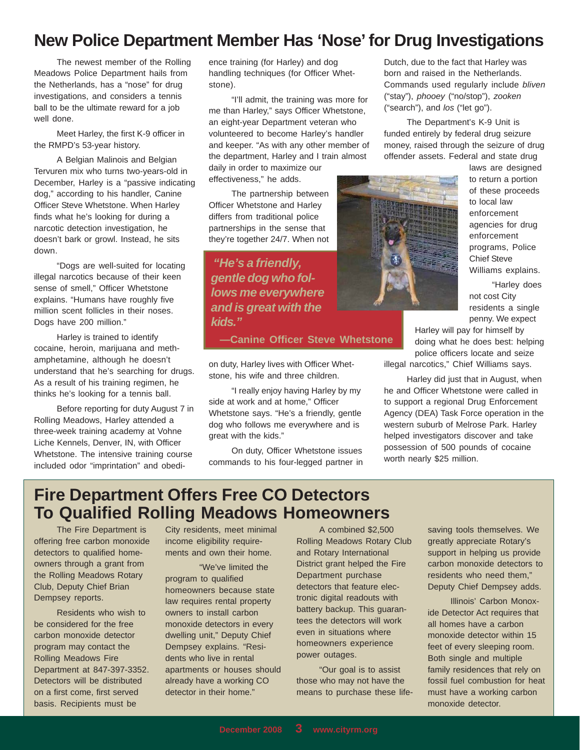## **New Police Department Member Has 'Nose' for Drug Investigations**

The newest member of the Rolling Meadows Police Department hails from the Netherlands, has a "nose" for drug investigations, and considers a tennis ball to be the ultimate reward for a job well done.

Meet Harley, the first K-9 officer in the RMPD's 53-year history.

A Belgian Malinois and Belgian Tervuren mix who turns two-years-old in December, Harley is a "passive indicating dog," according to his handler, Canine Officer Steve Whetstone. When Harley finds what he's looking for during a narcotic detection investigation, he doesn't bark or growl. Instead, he sits down.

"Dogs are well-suited for locating illegal narcotics because of their keen sense of smell," Officer Whetstone explains. "Humans have roughly five million scent follicles in their noses. Dogs have 200 million."

Harley is trained to identify cocaine, heroin, marijuana and methamphetamine, although he doesn't understand that he's searching for drugs. As a result of his training regimen, he thinks he's looking for a tennis ball.

Before reporting for duty August 7 in Rolling Meadows, Harley attended a three-week training academy at Vohne Liche Kennels, Denver, IN, with Officer Whetstone. The intensive training course included odor "imprintation" and obedience training (for Harley) and dog handling techniques (for Officer Whetstone).

"I'll admit, the training was more for me than Harley," says Officer Whetstone, an eight-year Department veteran who volunteered to become Harley's handler and keeper. "As with any other member of the department, Harley and I train almost daily in order to maximize our

effectiveness," he adds.

The partnership between Officer Whetstone and Harley differs from traditional police partnerships in the sense that they're together 24/7. When not

 *"He's a friendly, gentle dog who follows me everywhere and is great with the kids."*

**—Canine Officer Steve Whetstone**

on duty, Harley lives with Officer Whetstone, his wife and three children.

"I really enjoy having Harley by my side at work and at home," Officer Whetstone says. "He's a friendly, gentle dog who follows me everywhere and is great with the kids."

On duty, Officer Whetstone issues commands to his four-legged partner in Dutch, due to the fact that Harley was born and raised in the Netherlands. Commands used regularly include *bliven* ("stay"), *phooey* ("no/stop"), *zooken* ("search"), and *los* ("let go").

The Department's K-9 Unit is funded entirely by federal drug seizure money, raised through the seizure of drug offender assets. Federal and state drug



laws are designed to return a portion of these proceeds to local law enforcement agencies for drug enforcement programs, Police Chief Steve Williams explains.

"Harley does not cost City residents a single penny. We expect

Harley will pay for himself by doing what he does best: helping police officers locate and seize

illegal narcotics," Chief Williams says.

Harley did just that in August, when he and Officer Whetstone were called in to support a regional Drug Enforcement Agency (DEA) Task Force operation in the western suburb of Melrose Park. Harley helped investigators discover and take possession of 500 pounds of cocaine worth nearly \$25 million.

## **Fire Department Offers Free CO Detectors To Qualified Rolling Meadows Homeowners**

The Fire Department is offering free carbon monoxide detectors to qualified homeowners through a grant from the Rolling Meadows Rotary Club, Deputy Chief Brian Dempsey reports.

Residents who wish to be considered for the free carbon monoxide detector program may contact the Rolling Meadows Fire Department at 847-397-3352. Detectors will be distributed on a first come, first served basis. Recipients must be

City residents, meet minimal income eligibility requirements and own their home.

"We've limited the program to qualified homeowners because state law requires rental property owners to install carbon monoxide detectors in every dwelling unit," Deputy Chief Dempsey explains. "Residents who live in rental apartments or houses should already have a working CO detector in their home."

A combined \$2,500 Rolling Meadows Rotary Club and Rotary International District grant helped the Fire Department purchase detectors that feature electronic digital readouts with battery backup. This guarantees the detectors will work even in situations where homeowners experience power outages.

"Our goal is to assist those who may not have the means to purchase these lifesaving tools themselves. We greatly appreciate Rotary's support in helping us provide carbon monoxide detectors to residents who need them," Deputy Chief Dempsey adds.

Illinois' Carbon Monoxide Detector Act requires that all homes have a carbon monoxide detector within 15 feet of every sleeping room. Both single and multiple family residences that rely on fossil fuel combustion for heat must have a working carbon monoxide detector.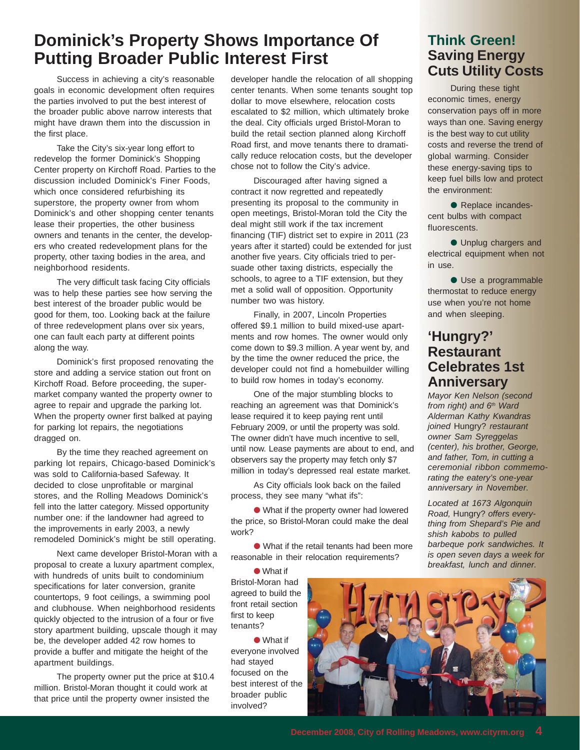## **Dominick's Property Shows Importance Of Putting Broader Public Interest First**

Success in achieving a city's reasonable goals in economic development often requires the parties involved to put the best interest of the broader public above narrow interests that might have drawn them into the discussion in the first place.

Take the City's six-year long effort to redevelop the former Dominick's Shopping Center property on Kirchoff Road. Parties to the discussion included Dominick's Finer Foods, which once considered refurbishing its superstore, the property owner from whom Dominick's and other shopping center tenants lease their properties, the other business owners and tenants in the center, the developers who created redevelopment plans for the property, other taxing bodies in the area, and neighborhood residents.

The very difficult task facing City officials was to help these parties see how serving the best interest of the broader public would be good for them, too. Looking back at the failure of three redevelopment plans over six years, one can fault each party at different points along the way.

Dominick's first proposed renovating the store and adding a service station out front on Kirchoff Road. Before proceeding, the supermarket company wanted the property owner to agree to repair and upgrade the parking lot. When the property owner first balked at paying for parking lot repairs, the negotiations dragged on.

By the time they reached agreement on parking lot repairs, Chicago-based Dominick's was sold to California-based Safeway. It decided to close unprofitable or marginal stores, and the Rolling Meadows Dominick's fell into the latter category. Missed opportunity number one: if the landowner had agreed to the improvements in early 2003, a newly remodeled Dominick's might be still operating.

Next came developer Bristol-Moran with a proposal to create a luxury apartment complex, with hundreds of units built to condominium specifications for later conversion, granite countertops, 9 foot ceilings, a swimming pool and clubhouse. When neighborhood residents quickly objected to the intrusion of a four or five story apartment building, upscale though it may be, the developer added 42 row homes to provide a buffer and mitigate the height of the apartment buildings.

The property owner put the price at \$10.4 million. Bristol-Moran thought it could work at that price until the property owner insisted the

developer handle the relocation of all shopping center tenants. When some tenants sought top dollar to move elsewhere, relocation costs escalated to \$2 million, which ultimately broke the deal. City officials urged Bristol-Moran to build the retail section planned along Kirchoff Road first, and move tenants there to dramatically reduce relocation costs, but the developer chose not to follow the City's advice.

Discouraged after having signed a contract it now regretted and repeatedly presenting its proposal to the community in open meetings, Bristol-Moran told the City the deal might still work if the tax increment financing (TIF) district set to expire in 2011 (23 years after it started) could be extended for just another five years. City officials tried to persuade other taxing districts, especially the schools, to agree to a TIF extension, but they met a solid wall of opposition. Opportunity number two was history.

Finally, in 2007, Lincoln Properties offered \$9.1 million to build mixed-use apartments and row homes. The owner would only come down to \$9.3 million. A year went by, and by the time the owner reduced the price, the developer could not find a homebuilder willing to build row homes in today's economy.

One of the major stumbling blocks to reaching an agreement was that Dominick's lease required it to keep paying rent until February 2009, or until the property was sold. The owner didn't have much incentive to sell, until now. Lease payments are about to end, and observers say the property may fetch only \$7 million in today's depressed real estate market.

As City officials look back on the failed process, they see many "what ifs":

● What if the property owner had lowered the price, so Bristol-Moran could make the deal work?

● What if the retail tenants had been more reasonable in their relocation requirements?

● What if Bristol-Moran had agreed to build the front retail section first to keep tenants?

● What if everyone involved had stayed focused on the best interest of the broader public involved?

#### **Think Green! Saving Energy Cuts Utility Costs**

During these tight economic times, energy conservation pays off in more ways than one. Saving energy is the best way to cut utility costs and reverse the trend of global warming. Consider these energy-saving tips to keep fuel bills low and protect the environment:

● Replace incandescent bulbs with compact fluorescents.

● Unplug chargers and electrical equipment when not in use.

● Use a programmable thermostat to reduce energy use when you're not home and when sleeping.

#### **'Hungry?' Restaurant Celebrates 1st Anniversary**

*Mayor Ken Nelson (second from right) and 6th Ward Alderman Kathy Kwandras joined* Hungry? *restaurant owner Sam Syreggelas (center), his brother, George, and father, Tom, in cutting a ceremonial ribbon commemorating the eatery's one-year anniversary in November.*

*Located at 1673 Algonquin Road,* Hungry? *offers everything from Shepard's Pie and shish kabobs to pulled barbeque pork sandwiches. It is open seven days a week for breakfast, lunch and dinner.*

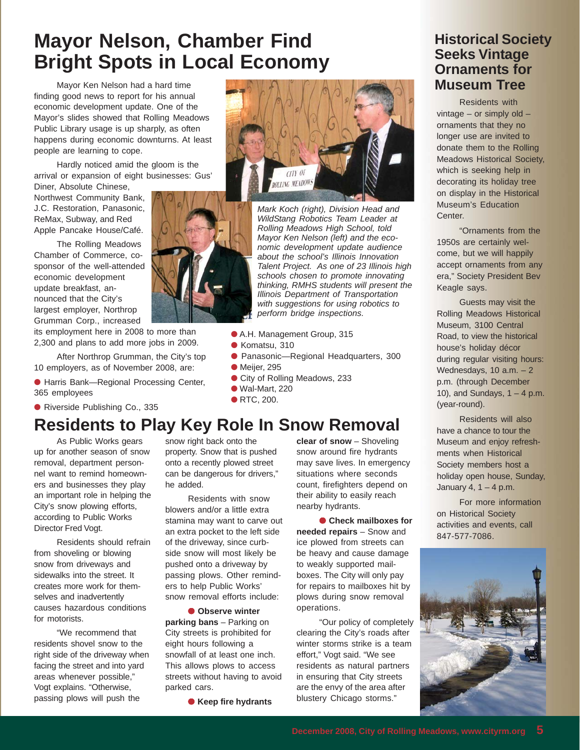# **Mayor Nelson, Chamber Find Bright Spots in Local Economy**

Mayor Ken Nelson had a hard time finding good news to report for his annual economic development update. One of the Mayor's slides showed that Rolling Meadows Public Library usage is up sharply, as often happens during economic downturns. At least people are learning to cope.

Hardly noticed amid the gloom is the arrival or expansion of eight businesses: Gus' Diner, Absolute Chinese,

Northwest Community Bank, J.C. Restoration, Panasonic, ReMax, Subway, and Red Apple Pancake House/Café.

The Rolling Meadows Chamber of Commerce, cosponsor of the well-attended economic development update breakfast, announced that the City's largest employer, Northrop Grumman Corp., increased

its employment here in 2008 to more than 2,300 and plans to add more jobs in 2009.

After Northrop Grumman, the City's top 10 employers, as of November 2008, are:

● Harris Bank—Regional Processing Center, 365 employees

● Riverside Publishing Co., 335

## **Residents to Play Key Role In Snow Removal**

As Public Works gears up for another season of snow removal, department personnel want to remind homeowners and businesses they play an important role in helping the City's snow plowing efforts, according to Public Works Director Fred Vogt.

Residents should refrain from shoveling or blowing snow from driveways and sidewalks into the street. It creates more work for themselves and inadvertently causes hazardous conditions for motorists.

"We recommend that residents shovel snow to the right side of the driveway when facing the street and into yard areas whenever possible," Vogt explains. "Otherwise, passing plows will push the

snow right back onto the property. Snow that is pushed onto a recently plowed street can be dangerous for drivers," he added.

Residents with snow blowers and/or a little extra stamina may want to carve out an extra pocket to the left side of the driveway, since curbside snow will most likely be pushed onto a driveway by passing plows. Other reminders to help Public Works' snow removal efforts include:

● **Observe winter parking bans** – Parking on City streets is prohibited for eight hours following a snowfall of at least one inch. This allows plows to access streets without having to avoid parked cars.

● **Keep fire hydrants**

**clear of snow** – Shoveling snow around fire hydrants may save lives. In emergency situations where seconds count, firefighters depend on their ability to easily reach nearby hydrants.

● **Check mailboxes for needed repairs** – Snow and ice plowed from streets can be heavy and cause damage to weakly supported mailboxes. The City will only pay for repairs to mailboxes hit by plows during snow removal operations.

"Our policy of completely clearing the City's roads after winter storms strike is a team effort," Vogt said. "We see residents as natural partners in ensuring that City streets are the envy of the area after blustery Chicago storms."

#### **Historical Society Seeks Vintage Ornaments for Museum Tree**

Residents with vintage – or simply old – ornaments that they no longer use are invited to donate them to the Rolling Meadows Historical Society, which is seeking help in decorating its holiday tree on display in the Historical Museum's Education Center.

"Ornaments from the 1950s are certainly welcome, but we will happily accept ornaments from any era," Society President Bev Keagle says.

Guests may visit the Rolling Meadows Historical Museum, 3100 Central Road, to view the historical house's holiday décor during regular visiting hours: Wednesdays,  $10$  a.m.  $-2$ p.m. (through December 10), and Sundays,  $1 - 4$  p.m. (year-round).

Residents will also have a chance to tour the Museum and enjoy refreshments when Historical Society members host a holiday open house, Sunday, January 4,  $1 - 4$  p.m.

For more information on Historical Society activities and events, call 847-577-7086.







*Mark Koch (right), Division Head and WildStang Robotics Team Leader at Rolling Meadows High School, told Mayor Ken Nelson (left) and the economic development update audience about the school's Illinois Innovation Talent Project. As one of 23 Illinois high schools chosen to promote innovating thinking, RMHS students will present the Illinois Department of Transportation with suggestions for using robotics to perform bridge inspections.*

- A.H. Management Group, 315
- Komatsu, 310
- Panasonic—Regional Headquarters, 300
- $\bullet$  Meijer, 295
- City of Rolling Meadows, 233
- $\bullet$  Wal-Mart, 220
- RTC, 200.